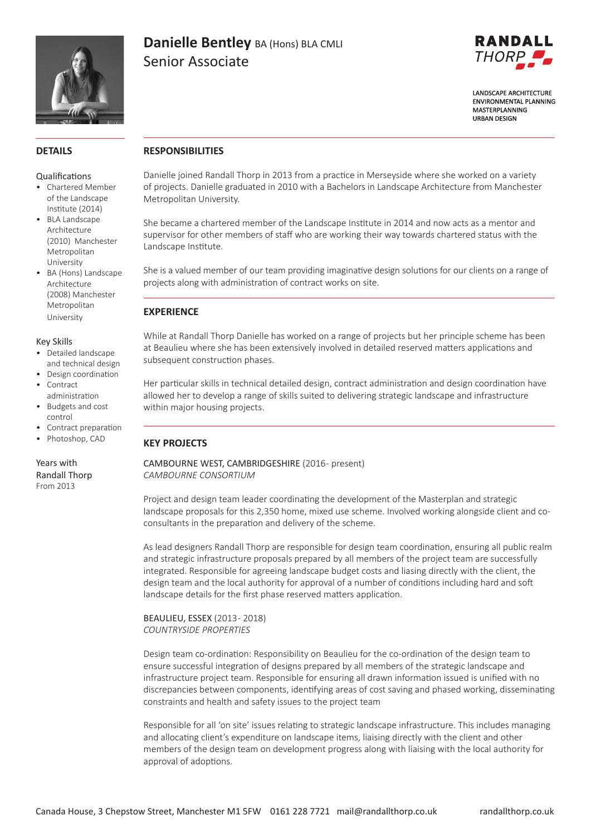

# **Danielle Bentley** BA (Hons) BLA CMLI Senior Associate



**LANDSCAPE ARCHITECTURE FNVIRONMENTAL PLANNING** MASTERPLANNING **URBAN DESIGN** 

### **DETAILS**

#### Qualifications

- Chartered Member of the Landscape Institute (2014)
- BLA Landscape Architecture (2010) Manchester Metropolitan University
- BA (Hons) Landscape Architecture (2008) Manchester Metropolitan University

#### Key Skills

- Detailed landscape and technical design
- Design coordination
- Contract administration
- Budgets and cost control
- Contract preparation
- Photoshop, CAD

Years with Randall Thorp From 2013

### **RESPONSIBILITIES**

Danielle joined Randall Thorp in 2013 from a practice in Merseyside where she worked on a variety of projects. Danielle graduated in 2010 with a Bachelors in Landscape Architecture from Manchester Metropolitan University.

She became a chartered member of the Landscape Institute in 2014 and now acts as a mentor and supervisor for other members of staff who are working their way towards chartered status with the Landscape Institute.

She is a valued member of our team providing imaginative design solutions for our clients on a range of projects along with administration of contract works on site.

### **EXPERIENCE**

 $\overline{a}$ 

While at Randall Thorp Danielle has worked on a range of projects but her principle scheme has been at Beaulieu where she has been extensively involved in detailed reserved matters applications and subsequent construction phases.

Her particular skills in technical detailed design, contract administration and design coordination have allowed her to develop a range of skills suited to delivering strategic landscape and infrastructure within major housing projects.

### **KEY PROJECTS**

CAMBOURNE WEST, CAMBRIDGESHIRE (2016 - present) *CAMBOURNE CONSORTIUM*

Project and design team leader coordinating the development of the Masterplan and strategic landscape proposals for this 2,350 home, mixed use scheme. Involved working alongside client and coconsultants in the preparation and delivery of the scheme.

As lead designers Randall Thorp are responsible for design team coordination, ensuring all public realm and strategic infrastructure proposals prepared by all members of the project team are successfully integrated. Responsible for agreeing landscape budget costs and liasing directly with the client, the design team and the local authority for approval of a number of conditions including hard and soft landscape details for the first phase reserved matters application.

#### BEAULIEU, ESSEX (2013 - 2018) *COUNTRYSIDE PROPERTIES*

Design team co-ordination: Responsibility on Beaulieu for the co-ordination of the design team to ensure successful integration of designs prepared by all members of the strategic landscape and infrastructure project team. Responsible for ensuring all drawn information issued is unified with no discrepancies between components, identifying areas of cost saving and phased working, disseminating constraints and health and safety issues to the project team

Responsible for all 'on site' issues relating to strategic landscape infrastructure. This includes managing and allocating client's expenditure on landscape items, liaising directly with the client and other members of the design team on development progress along with liaising with the local authority for approval of adoptions.